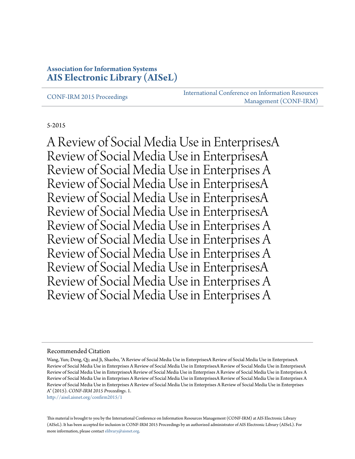#### **Association for Information Systems [AIS Electronic Library \(AISeL\)](http://aisel.aisnet.org?utm_source=aisel.aisnet.org%2Fconfirm2015%2F1&utm_medium=PDF&utm_campaign=PDFCoverPages)**

[CONF-IRM 2015 Proceedings](http://aisel.aisnet.org/confirm2015?utm_source=aisel.aisnet.org%2Fconfirm2015%2F1&utm_medium=PDF&utm_campaign=PDFCoverPages)

[International Conference on Information Resources](http://aisel.aisnet.org/conf-irm?utm_source=aisel.aisnet.org%2Fconfirm2015%2F1&utm_medium=PDF&utm_campaign=PDFCoverPages) [Management \(CONF-IRM\)](http://aisel.aisnet.org/conf-irm?utm_source=aisel.aisnet.org%2Fconfirm2015%2F1&utm_medium=PDF&utm_campaign=PDFCoverPages)

#### 5-2015

A Review of Social Media Use in EnterprisesA Review of Social Media Use in EnterprisesA Review of Social Media Use in Enterprises A Review of Social Media Use in EnterprisesA Review of Social Media Use in EnterprisesA Review of Social Media Use in EnterprisesA Review of Social Media Use in Enterprises A Review of Social Media Use in Enterprises A Review of Social Media Use in Enterprises A Review of Social Media Use in EnterprisesA Review of Social Media Use in Enterprises A Review of Social Media Use in Enterprises A

#### Recommended Citation

[http://aisel.aisnet.org/confirm2015/1](http://aisel.aisnet.org/confirm2015/1?utm_source=aisel.aisnet.org%2Fconfirm2015%2F1&utm_medium=PDF&utm_campaign=PDFCoverPages)

This material is brought to you by the International Conference on Information Resources Management (CONF-IRM) at AIS Electronic Library (AISeL). It has been accepted for inclusion in CONF-IRM 2015 Proceedings by an authorized administrator of AIS Electronic Library (AISeL). For more information, please contact [elibrary@aisnet.org.](mailto:elibrary@aisnet.org%3E)

Wang, Yun; Deng, Qi; and Ji, Shaobo, "A Review of Social Media Use in EnterprisesA Review of Social Media Use in EnterprisesA Review of Social Media Use in Enterprises A Review of Social Media Use in EnterprisesA Review of Social Media Use in EnterprisesA Review of Social Media Use in EnterprisesA Review of Social Media Use in Enterprises A Review of Social Media Use in Enterprises A Review of Social Media Use in Enterprises A Review of Social Media Use in EnterprisesA Review of Social Media Use in Enterprises A Review of Social Media Use in Enterprises A Review of Social Media Use in Enterprises A Review of Social Media Use in Enterprises A" (2015). *CONF-IRM 2015 Proceedings*. 1.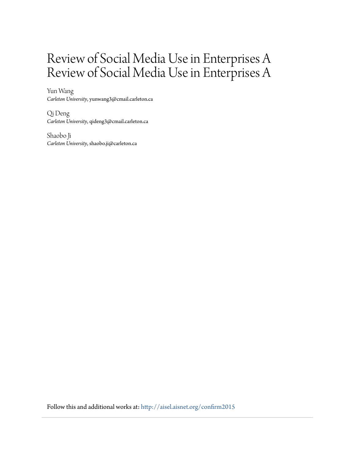# Review of Social Media Use in Enterprises A Review of Social Media Use in Enterprises A

Yun Wang *Carleton University*, yunwang3@cmail.carleton.ca

Qi Deng *Carleton University*, qideng3@cmail.carleton.ca

Shaobo Ji *Carleton University*, shaobo.ji@carleton.ca

Follow this and additional works at: [http://aisel.aisnet.org/confirm2015](http://aisel.aisnet.org/confirm2015?utm_source=aisel.aisnet.org%2Fconfirm2015%2F1&utm_medium=PDF&utm_campaign=PDFCoverPages)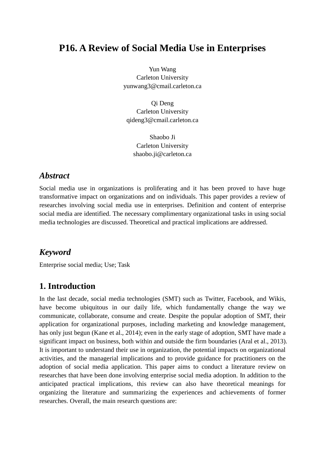# **P16. A Review of Social Media Use in Enterprises**

Yun Wang Carleton University yunwang3@cmail.carleton.ca

Qi Deng Carleton University qideng3@cmail.carleton.ca

Shaobo Ji Carleton University shaobo.ji@carleton.ca

## *Abstract*

Social media use in organizations is proliferating and it has been proved to have huge transformative impact on organizations and on individuals. This paper provides a review of researches involving social media use in enterprises. Definition and content of enterprise social media are identified. The necessary complimentary organizational tasks in using social media technologies are discussed. Theoretical and practical implications are addressed.

## *Keyword*

Enterprise social media; Use; Task

# **1. Introduction**

In the last decade, social media technologies (SMT) such as Twitter, Facebook, and Wikis, have become ubiquitous in our daily life, which fundamentally change the way we communicate, collaborate, consume and create. Despite the popular adoption of SMT, their application for organizational purposes, including marketing and knowledge management, has only just begun (Kane et al., 2014); even in the early stage of adoption, SMT have made a significant impact on business, both within and outside the firm boundaries (Aral et al., 2013). It is important to understand their use in organization, the potential impacts on organizational activities, and the managerial implications and to provide guidance for practitioners on the adoption of social media application. This paper aims to conduct a literature review on researches that have been done involving enterprise social media adoption. In addition to the anticipated practical implications, this review can also have theoretical meanings for organizing the literature and summarizing the experiences and achievements of former researches. Overall, the main research questions are: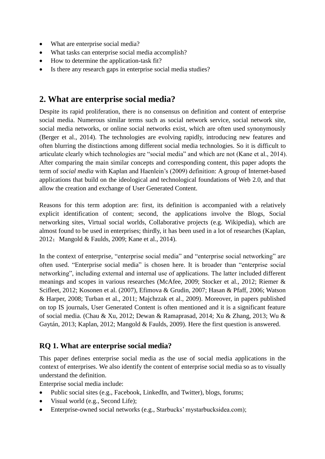- What are enterprise social media?
- What tasks can enterprise social media accomplish?
- How to determine the application-task fit?
- Is there any research gaps in enterprise social media studies?

## **2. What are enterprise social media?**

Despite its rapid proliferation, there is no consensus on definition and content of enterprise social media. Numerous similar terms such as social network service, social network site, social media networks, or online social networks exist, which are often used synonymously (Berger et al., 2014). The technologies are evolving rapidly, introducing new features and often blurring the distinctions among different social media technologies. So it is difficult to articulate clearly which technologies are "social media" and which are not (Kane et al., 2014). After comparing the main similar concepts and corresponding content, this paper adopts the term of *social media* with Kaplan and Haenlein's (2009) definition: A group of Internet-based applications that build on the ideological and technological foundations of Web 2.0, and that allow the creation and exchange of User Generated Content.

Reasons for this term adoption are: first, its definition is accompanied with a relatively explicit identification of content; second, the applications involve the Blogs, Social networking sites, Virtual social worlds, Collaborative projects (e.g. Wikipedia), which are almost found to be used in enterprises; thirdly, it has been used in a lot of researches (Kaplan, 2012; Mangold & Faulds, 2009; Kane et al., 2014).

In the context of enterprise, "enterprise social media" and "enterprise social networking" are often used. "Enterprise social media" is chosen here. It is broader than "enterprise social networking", including external and internal use of applications. The latter included different meanings and scopes in various researches (McAfee, 2009; Stocker et al., 2012; Riemer & Scifleet, 2012; Kosonen et al. (2007), Efimova & Grudin, 2007; Hasan & Pfaff, 2006; Watson & Harper, 2008; Turban et al., 2011; Majchrzak et al., 2009). Moreover, in papers published on top IS journals, User Generated Content is often mentioned and it is a significant feature of social media. (Chau & Xu, 2012; Dewan & Ramaprasad, 2014; Xu & Zhang, 2013; Wu & Gaytán, 2013; Kaplan, 2012; Mangold & Faulds, 2009). Here the first question is answered.

## **RQ 1. What are enterprise social media?**

This paper defines enterprise social media as the use of social media applications in the context of enterprises. We also identify the content of enterprise social media so as to visually understand the definition.

Enterprise social media include:

- Public social sites (e.g., Facebook, LinkedIn, and Twitter), blogs, forums;
- Visual world (e.g., Second Life);
- Enterprise-owned social networks (e.g., Starbucks' mystarbucksidea.com);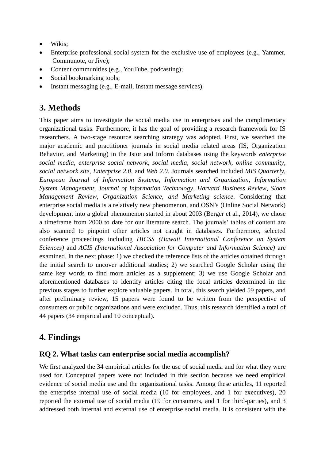- Wikis;
- Enterprise professional social system for the exclusive use of employees (e.g., Yammer, Communote, or Jive);
- Content communities (e.g., YouTube, podcasting);
- Social bookmarking tools;
- Instant messaging (e.g., E-mail, Instant message services).

# **3. Methods**

This paper aims to investigate the social media use in enterprises and the complimentary organizational tasks. Furthermore, it has the goal of providing a research framework for IS researchers. A two-stage resource searching strategy was adopted. First, we searched the major academic and practitioner journals in social media related areas (IS, Organization Behavior, and Marketing) in the Jstor and Inform databases using the keywords *enterprise social media*, *enterprise social network*, *social media*, *social network*, *online community*, *social network site*, *Enterprise 2.0*, and *Web 2.0*. Journals searched included *MIS Quarterly*, *European Journal of Information Systems*, *Information and Organization*, *Information System Management*, *Journal of Information Technology*, *Harvard Business Review*, *Sloan Management Review*, *Organization Science, and Marketing science*. Considering that enterprise social media is a relatively new phenomenon, and OSN's (Online Social Network) development into a global phenomenon started in about 2003 (Berger et al., 2014), we chose a timeframe from 2000 to date for our literature search. The journals' tables of content are also scanned to pinpoint other articles not caught in databases. Furthermore, selected conference proceedings including *HICSS (Hawaii International Conference on System Sciences)* and *ACIS (International Association for Computer and Information Science)* are examined. In the next phase: 1) we checked the reference lists of the articles obtained through the initial search to uncover additional studies; 2) we searched Google Scholar using the same key words to find more articles as a supplement; 3) we use Google Scholar and aforementioned databases to identify articles citing the focal articles determined in the previous stages to further explore valuable papers. In total, this search yielded 59 papers, and after preliminary review, 15 papers were found to be written from the perspective of consumers or public organizations and were excluded. Thus, this research identified a total of 44 papers (34 empirical and 10 conceptual).

# **4. Findings**

## **RQ 2. What tasks can enterprise social media accomplish?**

We first analyzed the 34 empirical articles for the use of social media and for what they were used for. Conceptual papers were not included in this section because we need empirical evidence of social media use and the organizational tasks. Among these articles, 11 reported the enterprise internal use of social media (10 for employees, and 1 for executives), 20 reported the external use of social media (19 for consumers, and 1 for third-parties), and 3 addressed both internal and external use of enterprise social media. It is consistent with the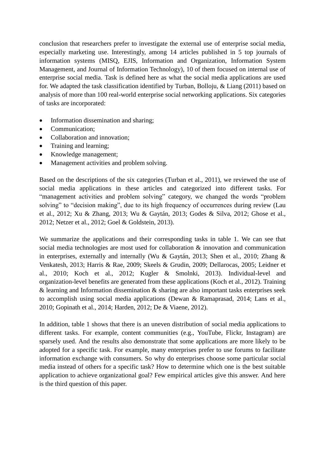conclusion that researchers prefer to investigate the external use of enterprise social media, especially marketing use. Interestingly, among 14 articles published in 5 top journals of information systems (MISQ, EJIS, Information and Organization, Information System Management, and Journal of Information Technology), 10 of them focused on internal use of enterprise social media. Task is defined here as what the social media applications are used for. We adapted the task classification identified by Turban, Bolloju, & Liang (2011) based on analysis of more than 100 real-world enterprise social networking applications. Six categories of tasks are incorporated:

- Information dissemination and sharing;
- Communication;
- Collaboration and innovation;
- Training and learning;
- Knowledge management;
- Management activities and problem solving.

Based on the descriptions of the six categories (Turban et al., 2011), we reviewed the use of social media applications in these articles and categorized into different tasks. For "management activities and problem solving" category, we changed the words "problem solving" to "decision making", due to its high frequency of occurrences during review (Lau et al., 2012; Xu & Zhang, 2013; Wu & Gaytán, 2013; Godes & Silva, 2012; Ghose et al., 2012; Netzer et al., 2012; Goel & Goldstein, 2013).

We summarize the applications and their corresponding tasks in table 1. We can see that social media technologies are most used for collaboration & innovation and communication in enterprises, externally and internally (Wu & Gaytán, 2013; Shen et al., 2010; Zhang & Venkatesh, 2013; Harris & Rae, 2009; Skeels & Grudin, 2009; Dellarocas, 2005; Leidner et al., 2010; Koch et al., 2012; Kugler & Smolnki, 2013). Individual-level and organization-level benefits are generated from these applications (Koch et al., 2012). Training & learning and Information dissemination & sharing are also important tasks enterprises seek to accomplish using social media applications (Dewan & Ramaprasad, 2014; Lans et al., 2010; Gopinath et al., 2014; Harden, 2012; De & Viaene, 2012).

In addition, table 1 shows that there is an uneven distribution of social media applications to different tasks. For example, content communities (e.g., YouTube, Flickr, Instagram) are sparsely used. And the results also demonstrate that some applications are more likely to be adopted for a specific task. For example, many enterprises prefer to use forums to facilitate information exchange with consumers. So why do enterprises choose some particular social media instead of others for a specific task? How to determine which one is the best suitable application to achieve organizational goal? Few empirical articles give this answer. And here is the third question of this paper.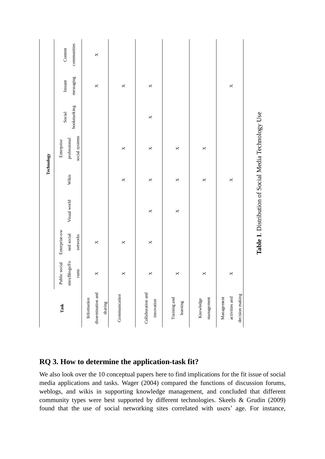|                                                      |                                         |                                         |              |              | Technology                                           |                       |                      |                        |
|------------------------------------------------------|-----------------------------------------|-----------------------------------------|--------------|--------------|------------------------------------------------------|-----------------------|----------------------|------------------------|
| Task                                                 | sites/Blogs/Fo<br>Public social<br>runs | Enterprise-ow<br>ned social<br>networks | Visual world | Wikis        | social systems<br>professional<br>Enterprise         | bookmarking<br>Social | messaging<br>Instant | communities<br>Content |
| dissemination and<br>Information<br>$_{\rm sharing}$ | $\mathsf{X}$                            | $\times$                                |              |              |                                                      |                       | $\times$             | $\times$               |
| Communication                                        | $\times$                                | $\times$                                |              | $\times$     | $\times$                                             |                       | $\times$             |                        |
| Collaboration and<br>innovation                      | $\times$                                | $\times$                                | $\times$     | $\times$     | $\times$                                             | $\times$              | $\times$             |                        |
| Training and<br>learning                             | $\times$                                |                                         | $\times$     | $\mathsf{x}$ | $\times$                                             |                       |                      |                        |
| management<br>Knowledge                              | $\times$                                |                                         |              | $\times$     | $\times$                                             |                       |                      |                        |
| decision making<br>activities and<br>Management      | $\times$                                |                                         |              | $\times$     |                                                      |                       | $\times$             |                        |
|                                                      |                                         |                                         |              |              | Table 1. Distribution of Social Media Technology Use |                       |                      |                        |

**1**. Distribution of Social Media Technology Use

## **RQ 3. How to determine the application-task fit?**

We also look over the 10 conceptual papers here to find implications for the fit issue of social media applications and tasks. Wager (2004) compared the functions of discussion forums, weblogs, and wikis in supporting knowledge management, and concluded that different community types were best supported by different technologies. Skeels & Grudin (2009) found that the use of social networking sites correlated with users' age. For instance,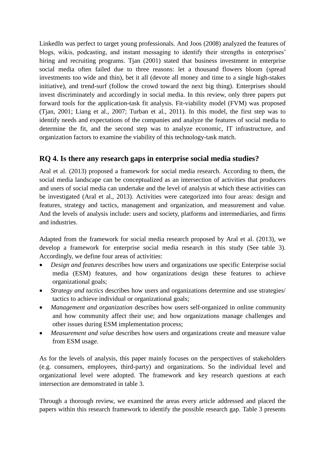LinkedIn was perfect to target young professionals. And Joos (2008) analyzed the features of blogs, wikis, podcasting, and instant messaging to identify their strengths in enterprises' hiring and recruiting programs. Tjan (2001) stated that business investment in enterprise social media often failed due to three reasons: let a thousand flowers bloom (spread investments too wide and thin), bet it all (devote all money and time to a single high-stakes initiative), and trend-surf (follow the crowd toward the next big thing). Enterprises should invest discriminately and accordingly in social media. In this review, only three papers put forward tools for the application-task fit analysis. Fit-viability model (FVM) was proposed (Tjan, 2001; Liang et al., 2007; Turban et al., 2011). In this model, the first step was to identify needs and expectations of the companies and analyze the features of social media to determine the fit, and the second step was to analyze economic, IT infrastructure, and organization factors to examine the viability of this technology-task match.

## **RQ 4. Is there any research gaps in enterprise social media studies?**

Aral et al. (2013) proposed a framework for social media research. According to them, the social media landscape can be conceptualized as an intersection of activities that producers and users of social media can undertake and the level of analysis at which these activities can be investigated (Aral et al., 2013). Activities were categorized into four areas: design and features, strategy and tactics, management and organization, and measurement and value. And the levels of analysis include: users and society, platforms and intermediaries, and firms and industries.

Adapted from the framework for social media research proposed by Aral et al. (2013), we develop a framework for enterprise social media research in this study (See table 3). Accordingly, we define four areas of activities:

- *Design and features* describes how users and organizations use specific Enterprise social media (ESM) features, and how organizations design these features to achieve organizational goals;
- *Strategy and tactics* describes how users and organizations determine and use strategies/ tactics to achieve individual or organizational goals;
- *Management and organization* describes how users self-organized in online community and how community affect their use; and how organizations manage challenges and other issues during ESM implementation process;
- *Measurement and value* describes how users and organizations create and measure value from ESM usage.

As for the levels of analysis, this paper mainly focuses on the perspectives of stakeholders (e.g. consumers, employees, third-party) and organizations. So the individual level and organizational level were adopted. The framework and key research questions at each intersection are demonstrated in table 3.

Through a thorough review, we examined the areas every article addressed and placed the papers within this research framework to identify the possible research gap. Table 3 presents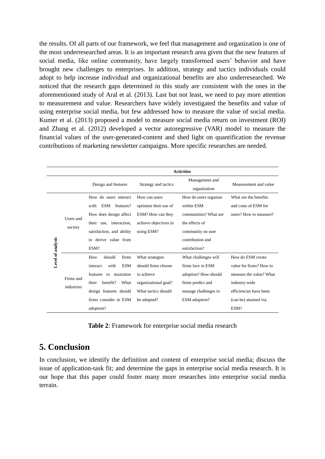the results. Of all parts of our framework, we feel that management and organization is one of the most underresearched areas. It is an important research area given that the new features of social media, like online community, have largely transformed users' behavior and have brought new challenges to enterprises. In addition, strategy and tactics individuals could adopt to help increase individual and organizational benefits are also underresearched. We noticed that the research gaps determined in this study are consistent with the ones in the aforementioned study of Aral et al. (2013). Last but not least, we need to pay more attention to measurement and value. Researchers have widely investigated the benefits and value of using enterprise social media, but few addressed how to measure the value of social media. Kumer et al. (2013) proposed a model to measure social media return on investment (ROI) and Zhang et al. (2012) developed a vector autoregressive (VAR) model to measure the financial values of the user-generated-content and shed light on quantification the revenue contributions of marketing newsletter campaigns. More specific researches are needed.

|                          |                         | <b>Activities</b>                 |                       |                                |                         |  |
|--------------------------|-------------------------|-----------------------------------|-----------------------|--------------------------------|-------------------------|--|
|                          |                         | Design and features               | Strategy and tactics  | Management and<br>organization | Measurement and value   |  |
|                          | Users and               | How do users interact             | How can users         | How do users organize          | What are the benefits   |  |
|                          |                         | <b>ESM</b><br>features?<br>with   | optimize their use of | within ESM                     | and costs of ESM for    |  |
|                          |                         | How does design affect            | ESM? How can they     | communities? What are          | users? How to measure?  |  |
|                          |                         | their use, interaction,           | achieve objectives in | the effects of                 |                         |  |
|                          | society                 | satisfaction, and ability         | using ESM?            | community on user              |                         |  |
|                          |                         | derive value from<br>$f_{\Omega}$ |                       | contribution and               |                         |  |
| <b>Level of analysis</b> |                         | ESM?                              |                       | satisfaction?                  |                         |  |
|                          | Firms and<br>industries | How<br>should<br>firms            | What strategies       | What challenges will           | How do ESM create       |  |
|                          |                         | <b>ESM</b><br>with<br>interact    | should firms choose   | firms face in ESM              | value for firms? How to |  |
|                          |                         | features<br>to maximize           | to achieve            | adoption? How should           | measure the value? What |  |
|                          |                         | benefit?<br>What<br>their         | organizational goal?  | firms predict and              | industry-wide           |  |
|                          |                         | design features should            | What tactics should   | manage challenges in           | efficiencies have been  |  |
|                          |                         | firms consider in ESM             | be adopted?           | ESM adoption?                  | (can be) attained via   |  |
|                          |                         | adoption?                         |                       |                                | ESM?                    |  |

**Table 2**: Framework for enterprise social media research

## **5. Conclusion**

In conclusion, we identify the definition and content of enterprise social media; discuss the issue of application-task fit; and determine the gaps in enterprise social media research. It is our hope that this paper could foster many more researches into enterprise social media terrain.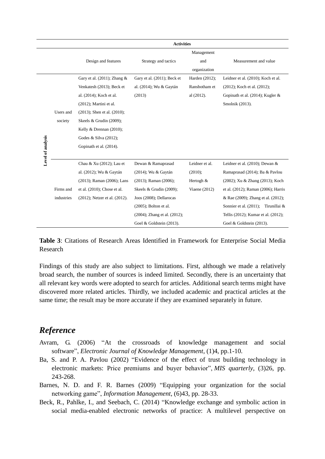|                   |            | <b>Activities</b>                 |                                    |                 |                                     |  |
|-------------------|------------|-----------------------------------|------------------------------------|-----------------|-------------------------------------|--|
|                   |            |                                   |                                    | Management      |                                     |  |
|                   |            | Design and features               | Strategy and tactics               | and             | Measurement and value               |  |
|                   |            |                                   |                                    | organization    |                                     |  |
|                   |            | Gary et al. $(2011)$ ; Zhang &    | Gary et al. (2011); Beck et        | Harden (2012);  | Leidner et al. (2010); Koch et al.  |  |
|                   |            | Venkatesh (2013); Beck et         | al. (2014); Wu & Gaytán            | Ransbotham et   | (2012); Koch et al. (2012);         |  |
|                   |            | al. (2014); Koch et al.           | (2013)                             | al (2012).      | Gopinath et al. (2014); Kugler &    |  |
|                   |            | $(2012)$ ; Martini et al.         |                                    |                 | Smolnik (2013).                     |  |
|                   | Users and  | $(2013)$ ; Shen et al. $(2010)$ ; |                                    |                 |                                     |  |
|                   | society    | Skeels & Grudin (2009);           |                                    |                 |                                     |  |
|                   |            | Kelly & Drennan (2010);           |                                    |                 |                                     |  |
|                   |            | Godes & Silva (2012);             |                                    |                 |                                     |  |
|                   |            | Gopinath et al. (2014).           |                                    |                 |                                     |  |
| Level of analysis |            |                                   |                                    |                 |                                     |  |
|                   |            | Chau & Xu (2012); Lau et          | Dewan & Ramaprasad                 | Leidner et al.  | Leidner et al. $(2010)$ ; Dewan &   |  |
|                   |            | al. (2012); Wu & Gaytán           | (2014); Wu & Gaytán                | $(2010)$ ;      | Ramaprasad (2014); Ba & Pavlou      |  |
|                   |            | (2013); Raman (2006); Lans        | $(2013)$ ; Raman $(2006)$ ;        | Hertogh &       | (2002); Xu & Zhang (2013); Koch     |  |
|                   | Firms and  | et al. (2010); Chose et al.       | Skeels & Grudin (2009);            | Viaene $(2012)$ | et al. (2012); Raman (2006); Harris |  |
|                   | industries | (2012); Netzer et al. (2012).     | Joos (2008); Dellarocas            |                 | & Rae (2009); Zhang et al. (2012);  |  |
|                   |            |                                   | $(2005)$ ; Bolton et al.           |                 | Sonnier et al. (2011); Tirunillai & |  |
|                   |            |                                   | $(2004)$ ; Zhang et al. $(2012)$ ; |                 | Tellis (2012); Kumar et al. (2012); |  |
|                   |            |                                   | Goel & Goldstein (2013).           |                 | Goel & Goldstein (2013).            |  |

**Table 3**: Citations of Research Areas Identified in Framework for Enterprise Social Media Research

Findings of this study are also subject to limitations. First, although we made a relatively broad search, the number of sources is indeed limited. Secondly, there is an uncertainty that all relevant key words were adopted to search for articles. Additional search terms might have discovered more related articles. Thirdly, we included academic and practical articles at the same time; the result may be more accurate if they are examined separately in future.

## *Reference*

- Avram, G. (2006) "At the crossroads of knowledge management and social software", *Electronic Journal of Knowledge Management*, (1)4, pp.1-10.
- Ba, S. and P. A. Pavlou (2002) "Evidence of the effect of trust building technology in electronic markets: Price premiums and buyer behavior", *MIS quarterly*, (3)26, pp. 243-268.
- Barnes, N. D. and F. R. Barnes (2009) "Equipping your organization for the social networking game", *Information Management*, (6)43, pp. 28-33.
- Beck, R., Pahlke, I., and Seebach, C. (2014) "Knowledge exchange and symbolic action in social media-enabled electronic networks of practice: A multilevel perspective on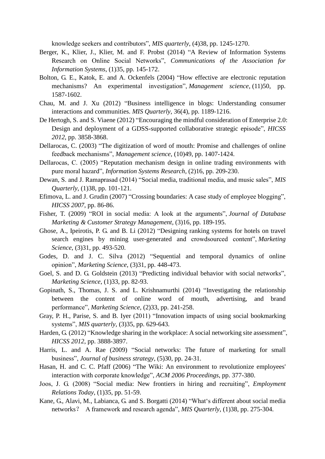knowledge seekers and contributors", *MIS quarterly*, (4)38, pp. 1245-1270.

- Berger, K., Klier, J., Klier, M. and F. Probst (2014) "A Review of Information Systems Research on Online Social Networks", *Communications of the Association for Information Systems*, (1)35, pp. 145-172.
- Bolton, G. E., Katok, E. and A. Ockenfels (2004) "How effective are electronic reputation mechanisms? An experimental investigation", *Management science*, (11)50, pp. 1587-1602.
- Chau, M. and J. Xu (2012) "Business intelligence in blogs: Understanding consumer interactions and communities. *MIS Quarterly*, 36(4), pp. 1189-1216.
- De Hertogh, S. and S. Viaene (2012) "Encouraging the mindful consideration of Enterprise 2.0: Design and deployment of a GDSS-supported collaborative strategic episode", *HICSS 2012*, pp. 3858-3868.
- Dellarocas, C. (2003) "The digitization of word of mouth: Promise and challenges of online feedback mechanisms", *Management science*, (10)49, pp. 1407-1424.
- Dellarocas, C. (2005) "Reputation mechanism design in online trading environments with pure moral hazard", *Information Systems Research*, (2)16, pp. 209-230.
- Dewan, S. and J. Ramaprasad (2014) "Social media, traditional media, and music sales", *MIS Quarterly*, (1)38, pp. 101-121.
- Efimova, L. and J. Grudin (2007) "Crossing boundaries: A case study of employee blogging", *HICSS 2007*, pp. 86-86.
- Fisher, T. (2009) "ROI in social media: A look at the arguments", *Journal of Database Marketing & Customer Strategy Management*, (3)16, pp. 189-195.
- Ghose, A., Ipeirotis, P. G. and B. Li (2012) "Designing ranking systems for hotels on travel search engines by mining user-generated and crowdsourced content", *Marketing Science*, (3)31, pp. 493-520.
- Godes, D. and J. C. Silva (2012) "Sequential and temporal dynamics of online opinion", *Marketing Science*, (3)31, pp. 448-473.
- Goel, S. and D. G. Goldstein (2013) "Predicting individual behavior with social networks", *Marketing Science*, (1)33, pp. 82-93.
- Gopinath, S., Thomas, J. S. and L. Krishnamurthi (2014) "Investigating the relationship between the content of online word of mouth, advertising, and brand performance", *Marketing Science*, (2)33, pp. 241-258.
- Gray, P. H., Parise, S. and B. Iyer (2011) "Innovation impacts of using social bookmarking systems", *MIS quarterly*, (3)35, pp. 629-643.
- Harden, G. (2012) "Knowledge sharing in the workplace: A social networking site assessment", *HICSS 2012*, pp. 3888-3897.
- Harris, L. and A. Rae (2009) "Social networks: The future of marketing for small business", *Journal of business strategy*, (5)30, pp. 24-31.
- Hasan, H. and C. C. Pfaff (2006) "The Wiki: An environment to revolutionize employees' interaction with corporate knowledge", *ACM 2006 Proceedings*, pp. 377-380.
- Joos, J. G. (2008) "Social media: New frontiers in hiring and recruiting", *Employment Relations Today*, (1)35, pp. 51-59.
- Kane, G., Alavi, M., Labianca, G. and S. Borgatti (2014) "What's different about social media networks? A framework and research agenda", *MIS Quarterly*, (1)38, pp. 275-304.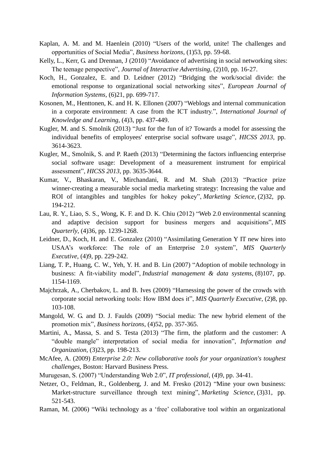- Kaplan, A. M. and M. Haenlein (2010) "Users of the world, unite! The challenges and opportunities of Social Media", *Business horizons*, (1)53, pp. 59-68.
- Kelly, L., Kerr, G. and Drennan, J (2010) "Avoidance of advertising in social networking sites: The teenage perspective", *Journal of Interactive Advertising*, (2)10, pp. 16-27.
- Koch, H., Gonzalez, E. and D. Leidner (2012) "Bridging the work/social divide: the emotional response to organizational social networking sites", *European Journal of Information Systems*, (6)21, pp. 699-717.
- Kosonen, M., Henttonen, K. and H. K. Ellonen (2007) "Weblogs and internal communication in a corporate environment: A case from the ICT industry.", *International Journal of Knowledge and Learning*, (4)3, pp. 437-449.
- Kugler, M. and S. Smolnik (2013) "Just for the fun of it? Towards a model for assessing the individual benefits of employees' enterprise social software usage", *HICSS 2013*, pp. 3614-3623.
- Kugler, M., Smolnik, S. and P. Raeth (2013) "Determining the factors influencing enterprise social software usage: Development of a measurement instrument for empirical assessment", *HICSS 2013*, pp. 3635-3644.
- Kumar, V., Bhaskaran, V., Mirchandani, R. and M. Shah (2013) "Practice prize winner-creating a measurable social media marketing strategy: Increasing the value and ROI of intangibles and tangibles for hokey pokey", *Marketing Science*, (2)32, pp. 194-212.
- Lau, R. Y., Liao, S. S., Wong, K. F. and D. K. Chiu (2012) "Web 2.0 environmental scanning and adaptive decision support for business mergers and acquisitions", *MIS Quarterly*, (4)36, pp. 1239-1268.
- Leidner, D., Koch, H. and E. Gonzalez (2010) "Assimilating Generation Y IT new hires into USAA's workforce: The role of an Enterprise 2.0 system", *MIS Quarterly Executive*, (4)9, pp. 229-242.
- Liang, T. P., Huang, C. W., Yeh, Y. H. and B. Lin (2007) "Adoption of mobile technology in business: A fit-viability model", *Industrial management & data systems*, (8)107, pp. 1154-1169.
- Majchrzak, A., Cherbakov, L. and B. Ives (2009) "Harnessing the power of the crowds with corporate social networking tools: How IBM does it", *MIS Quarterly Executive*, (2)8, pp. 103-108.
- Mangold, W. G. and D. J. Faulds (2009) "Social media: The new hybrid element of the promotion mix", *Business horizons*, (4)52, pp. 357-365.
- Martini, A., Massa, S. and S. Testa (2013) "The firm, the platform and the customer: A "double mangle" interpretation of social media for innovation", *Information and Organization*, (3)23, pp. 198-213.
- McAfee, A. (2009) *Enterprise 2.0: New collaborative tools for your organization's toughest challenges*, Boston: Harvard Business Press.
- Murugesan, S. (2007) "Understanding Web 2.0", *IT professional*, (4)9, pp. 34-41.
- Netzer, O., Feldman, R., Goldenberg, J. and M. Fresko (2012) "Mine your own business: Market-structure surveillance through text mining", *Marketing Science*, (3)31, pp. 521-543.
- Raman, M. (2006) "Wiki technology as a 'free' collaborative tool within an organizational